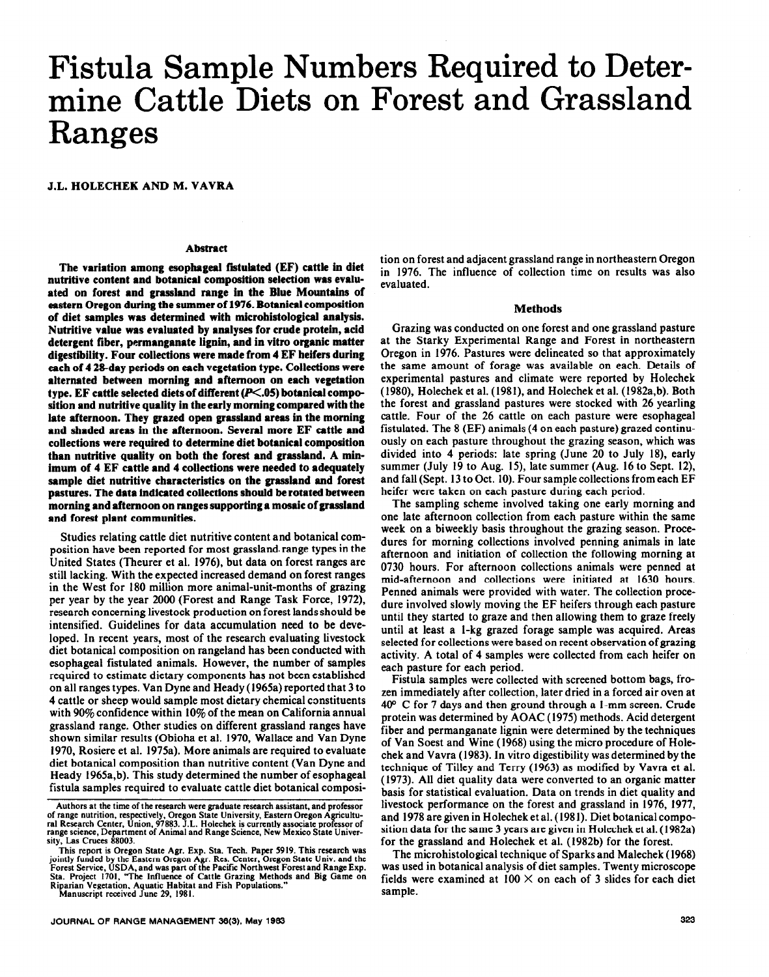# **Fistula Sample Numbers Required to Determine Cattle Diets on Forest and Grassland Ranges**

# **J.L. HOLECHEK AND M. VAVRA**

## **Abstract**

The variation among esophageal fistulated *(EF)* cattle in diet **nutritive content and botanical composition selection was evalu**ated on forest and grassland range in the Blue Mountains of **eastern Oregon during the summer of 1976. Botanical composition of diet samples was determined with microhistological analysis.**  Nutritive value was evaluated by analyses for crude protein, acid **detergent fiber, permanganate iignin, and in vitro organic matter digestibility. Four collections were made from 4 EF heifers during each of 4 2&day periods on each vegetation type. Collections were alternated between morning and afternoon on each vegetation**  type. EF cattle selected diets of different (P<.05) botanical compo**sition and nutritive quality in the early morning compared with the late afternoon. They grazed open grassland areas in the morning and shaded areas in the afternoon. Several more EF cattle and collections were required to determine diet botanical composition than nutritive quality on both the forest and grassland. A minimum of 4 EF cattle and 4 collections were needed to adequately sample diet nutritive characteristics on the grassland and forest pastures. The data indicated collections should be rotated between morning and afternoon on ranges supporting a mosaic of grassland and forest plant communities.** 

**Studies relating** cattle diet nutritive content and botanical composition have been reported for most grassland. range types in the United States (Theurer et al. 1976), but data on forest ranges are still lacking. With the expected increased demand on forest ranges in the West for 180 million more animal-unit-months of grazing per year by the year 2000 (Forest and Range Task Force, 1972), research concerning livestock production on forest lands should be intensified. Guidelines for data accumulation need to be developed. In recent years, most of the research evaluating livestock diet botanical composition on rangeland has been conducted with esophageal fistulated animals. However, the number of samples required to estimate dietary components has not been established on all ranges types. Van Dyne and Heady (i965a) reported that 3 to 4 cattle or sheep would sample most dietary chemical constituents with  $90\%$  confidence within  $10\%$  of the mean on California annual grassland range. Other studies on different grassland ranges have shown similar results (Obioha et al. 1970, Wallace and Van Dyne 1970, Rosiere et al. 1975a). More animals are required to evaluate diet botanical composition than nutritive content (Van Dyne and Heady 1965a,b). This study determined the number of esophageal fistula samples required to evaluate cattle diet botanical composi-

**JOURNAL OF RANGE MANAGEMENT 36(3). May 1983 323** 

tion on forest and adjacent grassland range in northeastern Oregon in 1976. The influence of collection time on results was also evaluated.

#### **Methods**

Grazing was conducted on one forest and one grassland pasture at the Starky Experimental Range and Forest in northeastern Oregon in 1976. Pastures were delineated so that approximately the same amount of forage was available on each. Details of experimental pastures and climate were reported by Holechek (1980), Holechek et al. (1981), and Holechek et al. (1982a,b). Both the forest and grassland pastures were stocked with 26 yearling cattle. Four of the 26 cattle on each pasture were esophageal fistulated. The 8 (EF) animals (4 on each pasture) grazed continuously on each pasture throughout the grazing season, which was divided into 4 periods: late spring (June 20 to July 18), early summer (July 19 to Aug. 15), late summer (Aug. 16 to Sept. 12), and fall (Sept. 13 to Oct. IO). Four sample collections from each EF heifer were taken on each pasture during each period.

The sampling scheme involved taking one early morning and one late afternoon collection from each pasture within the same week on a biweekly basis throughout the grazing season. Procedures for morning collections involved penning animals in late afternoon and initiation of collection the following morning at 0730 hours. For afternoon collections animals were penned at mid-afternoon and collections were initiated at 1630 hours. Penned animals were provided with water. The collection procedure involved slowly moving the EF heifers through each pasture until they started to graze and then allowing them to graze freely until at least a i-kg grazed forage sample was acquired. Areas selected for collections were based on recent observation of grazing activity. A total of 4 samples were collected from each heifer on each pasture for each period.

Fistula samples were collected with screened bottom bags, frozen immediately after collection, later dried in a forced air oven at 40° C for 7 days and then ground through a 1-mm screen. Crude protein was determined by AOAC (1975) methods. Acid detergent fiber and permanganate lignin were determined by the techniques of Van Soest and Wine (1968) using the micro procedure of Holechek and Vavra (1983). In vitro digestibility was determined by the technique of Tilley and Terry (1963) as modified by Vavra et al. (1973). All diet quality data were converted to an organic matter basis for statistical evaluation. Data on trends in diet quality and livestock performance on the forest and grassland in 1976, 1977, and 1978 are given in Holechek et al. (198 1). Diet botanical composition data for the same 3 years are given in Holechek et al. (1982a) for the grassland and Holechek et al. (1982b) for the forest.

The microhistological technique of Sparks and Malechek (1968) was used in botanical analysis of diet samples. Twenty microscope fields were examined at  $100 \times$  on each of 3 slides for each diet sample.

**Authors at the time of the research were graduate research assistant. and professor**  of range nutrition, respectively, Oregon State University, Eastern Oregon Agricultu-<br>ral Research Center, Union, 97883. J.L. Holechek is currently associate professor of **range science, Department of Animal and Range Science, New Mexico State Univer**sity, Las Cruces 88003.

**This report is Oregon State Agr. Exp. Sta. Tech. Paper 5919. This research was**  jointly funded by the Eastern Oregon Agr. Res. Center, Oregon State Univ. and the<br>Forest Service, USDA, and was part of the Pacific Northwest Forest and Range Exp.<br>Sta. Project 1701, "The Influence of Cattle Grazing Method **Riparian Vegetation, Aquatic Habitat and Fish Populations." Manuscript received June 29, 1981.**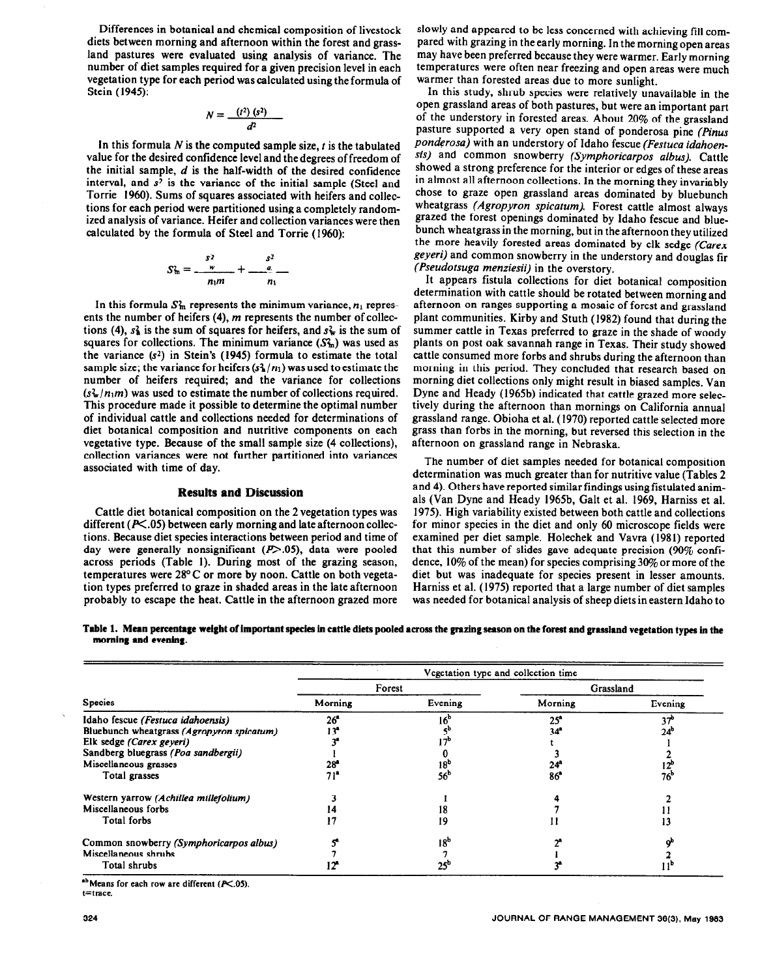Differences in botanical and chemical composition of livestock diets between morning and afternoon within the forest and grassland pastures were evaluated using analysis of variance. The number of diet samples required for a given precision level in each vegetation type for each period was calculated using the formula of Stein (1945):

$$
N=\frac{(t^2)(s^2)}{d^2}
$$

In this formula  $N$  is the computed sample size,  $t$  is the tabulated value for the desired confidence level and the degrees of freedom of the initial sample,  $d$  is the half-width of the desired confidence interval, and  $s^2$  is the variance of the initial sample (Steel and Torrie 1960). Sums of squares associated with heifers and collections for each period were partitioned using a completely randomized analysis of variance. Heifer and collection variances were then calculated by the formula of Steel and Torrie (1960):

$$
S_m^2 = \frac{s^2}{n_1m} + \frac{s^2}{n_1}
$$

In this formula  $S<sub>m</sub>$  represents the minimum variance,  $n_1$  represents the number of heifers (4), m represents the number of collections (4),  $s<sub>4</sub>$  is the sum of squares for heifers, and  $s<sub>4</sub>$  is the sum of squares for collections. The minimum variance  $(S<sub>m</sub><sup>2</sup>)$  was used as the variance  $(s^2)$  in Stein's (1945) formula to estimate the total sample size; the variance for heifers  $(s_{\frac{1}{2}}/n_1)$  was used to estimate the number of heifers required; and the variance for collections  $(s_w/n_1m)$  was used to estimate the number of collections required. This procedure made it possible to determine the optimal number of individual cattle and collections needed for determinations of diet botanical composition and nutritive components on each vegetative type. Because of the small sample size (4 collections), collection variances were not further partitioned into variances associated with time of day.

## **Results and Discussion**

Cattle diet botanical composition on the 2 vegetation types was different ( $P\leq$ .05) between early morning and late afternoon collections. Because diet species interactions between period and time of day were generally nonsignificant  $(P>0.05)$ , data were pooled across periods (Table I). During most of the grazing season, temperatures were 28°C or more by noon. Cattle on both vegetation types preferred to graze in shaded areas in the late afternoon probably to escape the heat. Cattle in the afternoon grazed more

slowly and appeared to be less concerned with achieving fill compared with grazing in the early morning. In the morning open areas may have been preferred because they were warmer. Early morning temperatures were often near freezing and open areas were much warmer than forested areas due to more sunlight.

In this study, shrub species were relatively unavailable in the open grassland areas of both pastures, but were an important part of the understory in forested areas. About 20% of the grassland pasture supported a very open stand of ponderosa pine (Pinus *ponderosa)* with an understory of Idaho fescue *(Festuca idahoensis)* and common snowberry *(Symphoricarpos albus).* Cattle showed a strong preference for the interior or edges of these areas in almost all afternoon collections. In the morning they invariably chose to graze open grassland areas dominated by bluebunch wheatgrass *(Agropyron spicarum).* Forest cattle almost always grazed the forest openings dominated by Idaho fescue and bluebunch wheatgrass in the morning, but in the afternoon they utilized the more heavily forested areas dominated by elk sedge *(Carex geyeri)* and common snowberry in the understory and douglas fir *(Pseudotsuga menziesii)* in the overstory.

It appears fistula collections for diet botanical composition determination with cattle should be rotated between morning and afternoon on ranges supporting a mosaic of forest and grassland plant communities. Kirby and Stuth (1982) found that during the summer cattle in Texas preferred to graze in the shade of woody plants on post oak savannah range in Texas. Their study showed cattle consumed more forbs and shrubs during the afternoon than morning in this period. They concluded that research based on morning diet collections only might result in biased samples. Van Dyne and Heady (1965b) indicated that cattle grazed more selectively during the afternoon than mornings on California annual grassland range. Obioha et al. (1970) reported cattle selected more grass than forbs in the morning, but reversed this selection in the afternoon on grassland range in Nebraska.

The number of diet samples needed for botanical composition determination was much greater than for nutritive value (Tables 2 and 4). Others have reported similar findings using fistulated animals (Van Dyne and Heady 1965b, Galt et al. 1969, Harniss et al. 1975). High variability existed between both cattle and collections for minor species in the diet and only 60 microscope fields were examined per diet sample. Holechek and Vavra (1981) reported that this number of slides gave adequate precision  $(90\% \text{ confi-}$ dence,  $10\%$  of the mean) for species comprising  $30\%$  or more of the diet but was inadequate for species present in lesser amounts. Harniss et al. (1975) reported that a large number of diet samples was needed for botanical analysis of sheep diets in eastern Idaho to

|                      | Table 1. Mean percentage weight of important species in cattle diets pooled across the grazing season on the forest and grassland vegetation types in the |  |  |
|----------------------|-----------------------------------------------------------------------------------------------------------------------------------------------------------|--|--|
| morning and evening. |                                                                                                                                                           |  |  |

|                                           | Vegetation type and collection time |                 |              |                 |  |  |  |  |
|-------------------------------------------|-------------------------------------|-----------------|--------------|-----------------|--|--|--|--|
|                                           | Forest                              |                 | Grassland    |                 |  |  |  |  |
| <b>Species</b>                            | Morning                             | Evening         | Morning      | Evening         |  |  |  |  |
| Idaho fescue (Festuca idahoensis)         | 26 <sup>o</sup>                     | 16°             | $25^{\circ}$ | 37              |  |  |  |  |
| Bluebunch wheatgrass (Agropyron spicatum) | 13ª                                 |                 | 34           | 24 <sup>b</sup> |  |  |  |  |
| Elk sedge (Carex geyeri)                  |                                     |                 |              |                 |  |  |  |  |
| Sandberg bluegrass (Poa sandbergii)       |                                     |                 |              |                 |  |  |  |  |
| Miscellaneous grasses                     | $28^{\circ}$                        | 18 <sup>°</sup> | 24°          | 12°             |  |  |  |  |
| Total grasses                             | 71"                                 | 56 <sup>b</sup> | 86           | 76°             |  |  |  |  |
| Western yarrow (Achillea millefolium)     |                                     |                 |              |                 |  |  |  |  |
| Miscellaneous forbs                       | 14                                  | 18              |              |                 |  |  |  |  |
| <b>Total forbs</b>                        | 17                                  | 19              |              | 13              |  |  |  |  |
| Common snowberry (Symphoricarpos albus)   |                                     | 18 <sup>b</sup> |              |                 |  |  |  |  |
| Miscellaneous shrubs                      |                                     |                 |              |                 |  |  |  |  |
| Total shrubs                              |                                     |                 |              |                 |  |  |  |  |

<sup>ab</sup> Means for each row are different (P<.05). **t=trace.**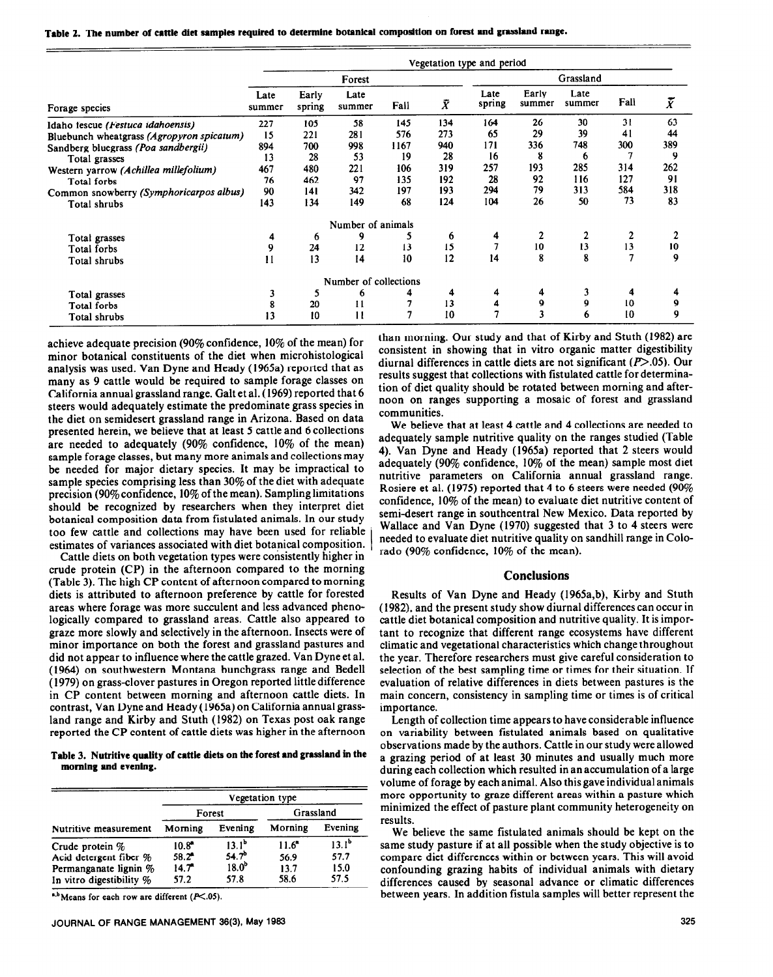**Table 2. The number of cattle diet samples required to determine botanical composition on forest and grrsslmd range.** 

| Vegetation type and period                |                |                      |                       |      |           |                |                 |                |      |                          |
|-------------------------------------------|----------------|----------------------|-----------------------|------|-----------|----------------|-----------------|----------------|------|--------------------------|
|                                           | Forest         |                      |                       |      | Grassland |                |                 |                |      |                          |
| Forage species                            | Late<br>summer | Early<br>spring      | Late<br>summer        | Fall | $\bar{X}$ | Late<br>spring | Early<br>summer | Late<br>summer | Fall | $\boldsymbol{\tilde{X}}$ |
| Idaho fescue (Festuca idahoensis)         | 227            | 105                  | 58                    | 145  | 134       | 164            | 26              | 30             | 31   | 63                       |
| Bluebunch wheatgrass (Agropyron spicatum) | 15             | 221                  | 281                   | 576  | 273       | 65             | 29              | 39             | 41   | 44                       |
| Sandberg bluegrass (Poa sandbergii)       | 894            | 700                  | 998                   | 1167 | 940       | 171            | 336             | 748            | 300  | 389                      |
| Total grasses                             | 13             | 28                   | 53                    | 19   | 28        | 16             | 8               | 6              |      | 9                        |
| Western varrow (Achillea millefolium)     | 467            | 480                  | 221                   | 106  | 319       | 257            | 193             | 285            | 314  | 262                      |
| Total forbs                               | 76             | 462                  | 97                    | 135  | 192       | 28             | 92              | 116            | 127  | 91                       |
| Common snowberry (Symphoricarpos albus)   | 90             | 141                  | 342                   | 197  | 193       | 294            | 79              | 313            | 584  | 318                      |
| Total shrubs                              | 143            | 134                  | 149                   | 68   | 124       | 104            | 26              | 50             | 73   | 83                       |
|                                           |                |                      | Number of animals     |      |           |                |                 |                |      |                          |
| Total grasses                             | 4              | $\ddot{\phantom{0}}$ | 9                     |      | 6         | 4              | 2               | $\overline{2}$ |      | 2                        |
| Total forbs                               | 9              | 24                   | 12                    | 13   | 15        |                | 10              | 13             | 13   | 10                       |
| Total shrubs                              | 11             | 13                   | 14                    | 10   | 12        | 14             | 8               | 8              | 7    | 9                        |
|                                           |                |                      | Number of collections |      |           |                |                 |                |      |                          |
| Total grasses                             | 3              | 5                    | 6                     | 4    | 4         | 4              | 4               | 3              | 4    |                          |
| Total forbs                               | 8              | 20                   | $\mathbf{11}$         |      | 13        | 4              | 9               | 9              | 10   | 9                        |
| Total shrubs                              | 13             | 10                   | $\mathbf{1}$          | 7    | 10        |                |                 | 6              | 10   | 9                        |

achieve adequate precision **(90%** confidence, 10% of the mean) for minor botanical constituents of the diet when microhistological analysis was used. Van Dyne and Heady (1%5a) reported that as many as 9 cattle would be required to sample forage classes on California annual grassland range. Galt et al. (1969) reported that 6 steers would adequately estimate the predominate grass species in the diet on semidesert grassland range in Arizona. Based on data presented herein, we believe that at least 5 cattle and 6 collections are needed to adequately (90% confidence, 10% of the mean) sample forage classes, but many more animals and collections may be needed for major dietary species. It may be impractical to sample species comprising less than 30% of the diet with adequate precision (90% confidence, 10% of the mean). Sampling limitations should be recognized by researchers when they interpret diet botanical composition data from fistulated animals. In our study too few cattle and collections may have been used for reliable estimates of variances associated with diet botanical composition.

Cattle diets on both vegetation types were consistently higher in crude protein (CP) in the afternoon compared to the morning (Table 3). The high CP content of afternoon compared to morning diets is attributed to afternoon preference by cattle for forested areas where forage was more succulent and less advanced phenologically compared to grassland areas. Cattle also appeared to graze more slowly and selectively in the afternoon. Insects were of minor importance on both the forest and grassland pastures and did not appear to influence where the cattle grazed. Van Dyne et al. (1964) on southwestern Montana bunchgrass range and Bedell ( 1979) on grass-clover pastures in Oregon reported little difference in CP content between morning and afternoon cattle diets. In contrast, Van Dyne and Heady (1965a) on California annual grassland range and Kirby and Stuth (1982) on Texas post oak range reported the CP content of cattle diets was higher in the afternoon

**Table 3. Nutritive quality of cattle diets on the forest and grassland in the morning and evening.** 

|                                                                                                | Vegetation type                                      |                                                                     |                                        |                                  |  |  |  |  |  |
|------------------------------------------------------------------------------------------------|------------------------------------------------------|---------------------------------------------------------------------|----------------------------------------|----------------------------------|--|--|--|--|--|
|                                                                                                | Forest                                               |                                                                     | Grassland                              |                                  |  |  |  |  |  |
| Nutritive measurement                                                                          | Morning                                              | Evening                                                             | Morning                                | Evening                          |  |  |  |  |  |
| Crude protein %<br>Acid detergent fiber %<br>Permanganate lignin %<br>In vitro digestibility % | $10.8^*$<br>$58.2^{\circ}$<br>$14.7^{\circ}$<br>57.2 | 13.1 <sup>b</sup><br>54.7 <sup>b</sup><br>18.0 <sup>b</sup><br>57.8 | $11.6^{\circ}$<br>56.9<br>13.7<br>58.6 | $13.1^b$<br>57.7<br>15.0<br>57.5 |  |  |  |  |  |

 $h, b$ Means for each row are different ( $P \le 0.05$ ).

than morning. Our study and that of Kirby and Stuth (1982) are consistent in showing that in vitro organic matter digestibility diurnal differences in cattle diets are not significant  $(P>0.05)$ . Our results suggest that collections with fistulated cattle for determination of diet quality should be rotated between morning and afternoon on ranges supporting a mosaic of forest and grassland communities.

We believe that at least 4 cattle and 4 collections are needed to adequately sample nutritive quality on the ranges studied (Table 4). Van Dyne and Heady (1965a) reported that 2 steers would adequately (90% confidence, 10% of the mean) sample most diet nutritive parameters on California annual grassland range. Rosiere et al. (1975) reported that 4 to 6 steers were needed (90% confidence, 10% of the mean) to evaluate diet nutritive content of semi-desert range in southcentral New Mexico. Data reported by Wallace and Van Dyne (1970) suggested that 3 to 4 steers were needed to evaluate diet nutritive quality on sandhill range in Colorado (90% confidence, 10% of the mean).

## **Conclusions**

Results of Van Dyne and Heady (1965a,b), Kirby and Stuth (1982), and the present study show diurnal differences can occur in cattle diet botanical composition and nutritive quality. It is important to recognize that different range ecosystems have different climatic and vegetational characteristics which change throughout the year. Therefore researchers must give careful consideration to selection of the best sampling time or times for their situation. If evaluation of relative differences in diets between pastures is the main concern, consistency in sampling time or times is of critical importance.

Length of collection time appears to have considerable influence on variability between fistulated animals based on qualitative observations made by the authors. Cattle in our study were allowed a grazing period of at least 30 minutes and usually much more during each collection which resulted in an accumulation of a large volume of forage by each animal. Also this gave individual animals more opportunity to graze different areas within a pasture which minimized the effect of pasture plant community heterogeneity on results.

We believe the same fistulated animals should be kept on the same study pasture if at all possible when the study objective is to compare diet differences within or between years. This will avoid confounding grazing habits of individual animals with dietary differences caused by seasonal advance or climatic differences between years. In addition fistula samples will better represent the